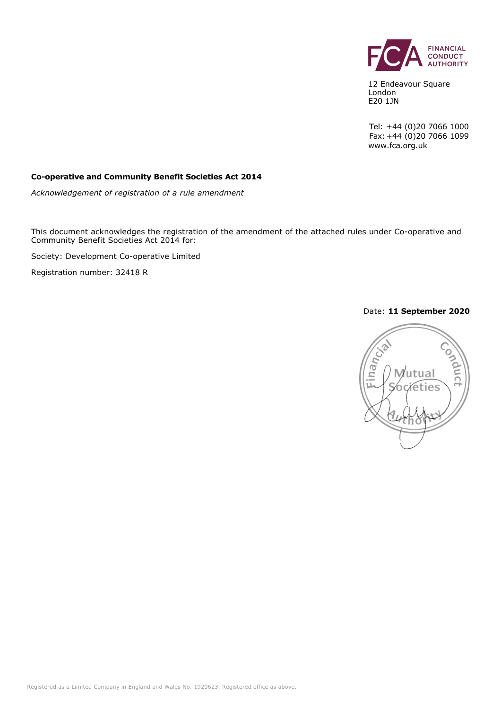

12 Endeavour Square London E20 1JN

Tel: +44 (0)20 7066 1000 Fax:+44 (0)20 7066 1099 www.fca.org.uk

#### **Co-operative and Community Benefit Societies Act 2014**

*Acknowledgement of registration of a rule amendment*

This document acknowledges the registration of the amendment of the attached rules under Co-operative and Community Benefit Societies Act 2014 for:

Society: Development Co-operative Limited

Registration number: 32418 R

#### Date: **11 September 2020**

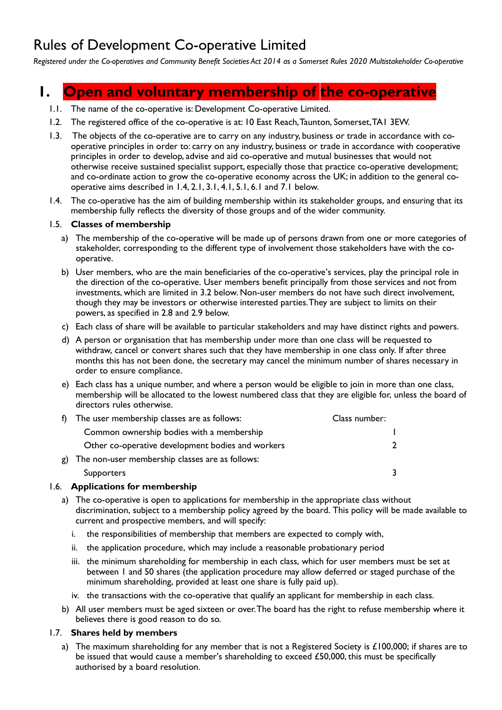## Rules of Development Co-operative Limited

*Registered under the Co-operatives and Community Benefit Societies Act 2014 as a Somerset Rules 2020 Multistakeholder Co-operative*

## **1. Open and voluntary membership of the co-operative**

- 1.1. The name of the co-operative is: Development Co-operative Limited.
- 1.2. The registered office of the co-operative is at: 10 East Reach, Taunton, Somerset, TA1 3EW.
- 1.3. The objects of the co-operative are to carry on any industry, business or trade in accordance with cooperative principles in order to: carry on any industry, business or trade in accordance with cooperative principles in order to develop, advise and aid co-operative and mutual businesses that would not otherwise receive sustained specialist support, especially those that practice co-operative development; and co-ordinate action to grow the co-operative economy across the UK; in addition to the general cooperative aims described in 1.4, 2.1, 3.1, 4.1, 5.1, 6.1 and 7.1 below.
- 1.4. The co-operative has the aim of building membership within its stakeholder groups, and ensuring that its membership fully reflects the diversity of those groups and of the wider community.

#### 1.5. **Classes of membership**

- a) The membership of the co-operative will be made up of persons drawn from one or more categories of stakeholder, corresponding to the different type of involvement those stakeholders have with the cooperative.
- b) User members, who are the main beneficiaries of the co-operative's services, play the principal role in the direction of the co-operative. User members benefit principally from those services and not from investments, which are limited in 3.2 below. Non-user members do not have such direct involvement, though they may be investors or otherwise interested parties. They are subject to limits on their powers, as specified in 2.8 and 2.9 below.
- c) Each class of share will be available to particular stakeholders and may have distinct rights and powers.
- d) A person or organisation that has membership under more than one class will be requested to withdraw, cancel or convert shares such that they have membership in one class only. If after three months this has not been done, the secretary may cancel the minimum number of shares necessary in order to ensure compliance.
- e) Each class has a unique number, and where a person would be eligible to join in more than one class, membership will be allocated to the lowest numbered class that they are eligible for, unless the board of directors rules otherwise.

|    | f) The user membership classes are as follows:    | Class number: |  |
|----|---------------------------------------------------|---------------|--|
|    | Common ownership bodies with a membership         |               |  |
|    | Other co-operative development bodies and workers |               |  |
| g) | The non-user membership classes are as follows:   |               |  |
|    | <b>Supporters</b>                                 |               |  |
|    |                                                   |               |  |

#### 1.6. **Applications for membership**

- a) The co-operative is open to applications for membership in the appropriate class without discrimination, subject to a membership policy agreed by the board. This policy will be made available to current and prospective members, and will specify:
	- i. the responsibilities of membership that members are expected to comply with,
	- ii. the application procedure, which may include a reasonable probationary period
	- iii. the minimum shareholding for membership in each class, which for user members must be set at between 1 and 50 shares (the application procedure may allow deferred or staged purchase of the minimum shareholding, provided at least one share is fully paid up).
	- iv. the transactions with the co-operative that qualify an applicant for membership in each class.
- b) All user members must be aged sixteen or over. The board has the right to refuse membership where it believes there is good reason to do so.

#### 1.7. **Shares held by members**

 a) The maximum shareholding for any member that is not a Registered Society is £100,000; if shares are to be issued that would cause a member's shareholding to exceed £50,000, this must be specifically authorised by a board resolution.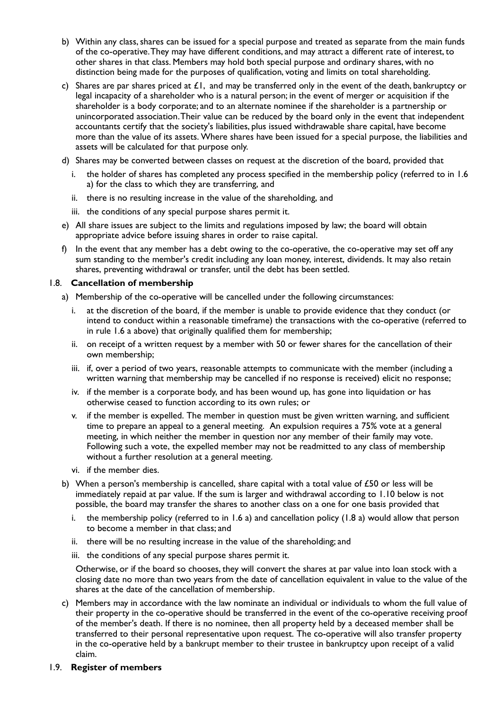- b) Within any class, shares can be issued for a special purpose and treated as separate from the main funds of the co-operative. They may have different conditions, and may attract a different rate of interest, to other shares in that class. Members may hold both special purpose and ordinary shares, with no distinction being made for the purposes of qualification, voting and limits on total shareholding.
- c) Shares are par shares priced at  $E1$ , and may be transferred only in the event of the death, bankruptcy or legal incapacity of a shareholder who is a natural person; in the event of merger or acquisition if the shareholder is a body corporate; and to an alternate nominee if the shareholder is a partnership or unincorporated association. Their value can be reduced by the board only in the event that independent accountants certify that the society's liabilities, plus issued withdrawable share capital, have become more than the value of its assets. Where shares have been issued for a special purpose, the liabilities and assets will be calculated for that purpose only.
- d) Shares may be converted between classes on request at the discretion of the board, provided that
	- i. the holder of shares has completed any process specified in the membership policy (referred to in 1.6 a) for the class to which they are transferring, and
	- ii. there is no resulting increase in the value of the shareholding, and
	- iii. the conditions of any special purpose shares permit it.
- e) All share issues are subject to the limits and regulations imposed by law; the board will obtain appropriate advice before issuing shares in order to raise capital.
- f) In the event that any member has a debt owing to the co-operative, the co-operative may set off any sum standing to the member's credit including any loan money, interest, dividends. It may also retain shares, preventing withdrawal or transfer, until the debt has been settled.

#### 1.8. **Cancellation of membership**

- a) Membership of the co-operative will be cancelled under the following circumstances:
	- i. at the discretion of the board, if the member is unable to provide evidence that they conduct (or intend to conduct within a reasonable timeframe) the transactions with the co-operative (referred to in rule 1.6 a above) that originally qualified them for membership;
	- ii. on receipt of a written request by a member with 50 or fewer shares for the cancellation of their own membership;
	- iii. if, over a period of two years, reasonable attempts to communicate with the member (including a written warning that membership may be cancelled if no response is received) elicit no response;
	- iv. if the member is a corporate body, and has been wound up, has gone into liquidation or has otherwise ceased to function according to its own rules; or
	- v. if the member is expelled. The member in question must be given written warning, and sufficient time to prepare an appeal to a general meeting. An expulsion requires a 75% vote at a general meeting, in which neither the member in question nor any member of their family may vote. Following such a vote, the expelled member may not be readmitted to any class of membership without a further resolution at a general meeting.
	- vi. if the member dies.
- b) When a person's membership is cancelled, share capital with a total value of  $£50$  or less will be immediately repaid at par value. If the sum is larger and withdrawal according to 1.10 below is not possible, the board may transfer the shares to another class on a one for one basis provided that
	- i. the membership policy (referred to in 1.6 a) and cancellation policy (1.8 a) would allow that person to become a member in that class; and
	- ii. there will be no resulting increase in the value of the shareholding; and
	- iii. the conditions of any special purpose shares permit it.

Otherwise, or if the board so chooses, they will convert the shares at par value into loan stock with a closing date no more than two years from the date of cancellation equivalent in value to the value of the shares at the date of the cancellation of membership.

 c) Members may in accordance with the law nominate an individual or individuals to whom the full value of their property in the co-operative should be transferred in the event of the co-operative receiving proof of the member's death. If there is no nominee, then all property held by a deceased member shall be transferred to their personal representative upon request. The co-operative will also transfer property in the co-operative held by a bankrupt member to their trustee in bankruptcy upon receipt of a valid claim.

#### 1.9. **Register of members**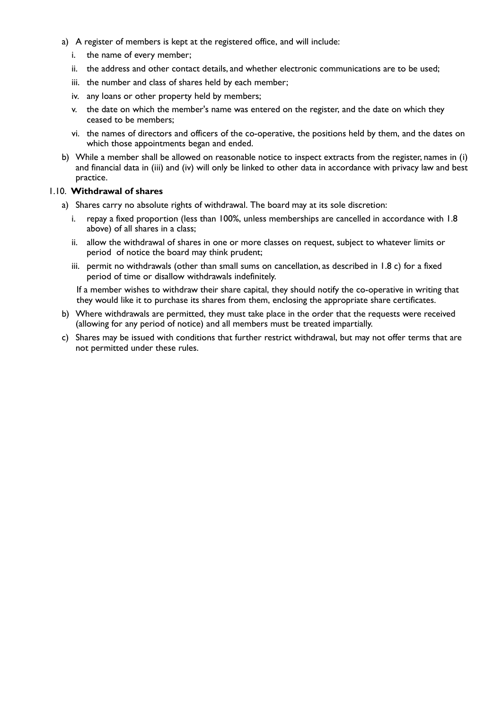- a) A register of members is kept at the registered office, and will include:
	- i. the name of every member;
	- ii. the address and other contact details, and whether electronic communications are to be used;
	- iii. the number and class of shares held by each member;
	- iv. any loans or other property held by members;
	- v. the date on which the member's name was entered on the register, and the date on which they ceased to be members;
	- vi. the names of directors and officers of the co-operative, the positions held by them, and the dates on which those appointments began and ended.
- b) While a member shall be allowed on reasonable notice to inspect extracts from the register, names in (i) and financial data in (iii) and (iv) will only be linked to other data in accordance with privacy law and best practice.

#### 1.10. **Withdrawal of shares**

- a) Shares carry no absolute rights of withdrawal. The board may at its sole discretion:
	- i. repay a fixed proportion (less than 100%, unless memberships are cancelled in accordance with 1.8 above) of all shares in a class;
	- ii. allow the withdrawal of shares in one or more classes on request, subject to whatever limits or period of notice the board may think prudent;
	- iii. permit no withdrawals (other than small sums on cancellation, as described in 1.8 c) for a fixed period of time or disallow withdrawals indefinitely.

If a member wishes to withdraw their share capital, they should notify the co-operative in writing that they would like it to purchase its shares from them, enclosing the appropriate share certificates.

- b) Where withdrawals are permitted, they must take place in the order that the requests were received (allowing for any period of notice) and all members must be treated impartially.
- c) Shares may be issued with conditions that further restrict withdrawal, but may not offer terms that are not permitted under these rules.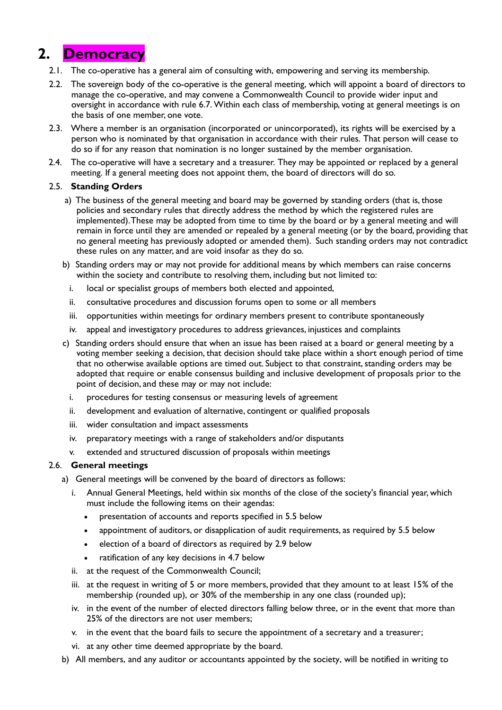## **2. Democracy**

- 2.1. The co-operative has a general aim of consulting with, empowering and serving its membership.
- 2.2. The sovereign body of the co-operative is the general meeting, which will appoint a board of directors to manage the co-operative, and may convene a Commonwealth Council to provide wider input and oversight in accordance with rule 6.7. Within each class of membership, voting at general meetings is on the basis of one member, one vote.
- 2.3. Where a member is an organisation (incorporated or unincorporated), its rights will be exercised by a person who is nominated by that organisation in accordance with their rules. That person will cease to do so if for any reason that nomination is no longer sustained by the member organisation.
- 2.4. The co-operative will have a secretary and a treasurer. They may be appointed or replaced by a general meeting. If a general meeting does not appoint them, the board of directors will do so.

#### 2.5. **Standing Orders**

- a) The business of the general meeting and board may be governed by standing orders (that is, those policies and secondary rules that directly address the method by which the registered rules are implemented). These may be adopted from time to time by the board or by a general meeting and will remain in force until they are amended or repealed by a general meeting (or by the board, providing that no general meeting has previously adopted or amended them). Such standing orders may not contradict these rules on any matter, and are void insofar as they do so.
- b) Standing orders may or may not provide for additional means by which members can raise concerns within the society and contribute to resolving them, including but not limited to:
	- i. local or specialist groups of members both elected and appointed,
	- ii. consultative procedures and discussion forums open to some or all members
	- iii. opportunities within meetings for ordinary members present to contribute spontaneously
	- iv. appeal and investigatory procedures to address grievances, injustices and complaints
- c) Standing orders should ensure that when an issue has been raised at a board or general meeting by a voting member seeking a decision, that decision should take place within a short enough period of time that no otherwise available options are timed out. Subject to that constraint, standing orders may be adopted that require or enable consensus building and inclusive development of proposals prior to the point of decision, and these may or may not include:
	- i. procedures for testing consensus or measuring levels of agreement
	- ii. development and evaluation of alternative, contingent or qualified proposals
	- iii. wider consultation and impact assessments
	- iv. preparatory meetings with a range of stakeholders and/or disputants
	- v. extended and structured discussion of proposals within meetings

#### 2.6. **General meetings**

- a) General meetings will be convened by the board of directors as follows:
	- i. Annual General Meetings, held within six months of the close of the society's financial year, which must include the following items on their agendas:
		- presentation of accounts and reports specified in 5.5 below
		- appointment of auditors, or disapplication of audit requirements, as required by 5.5 below
		- election of a board of directors as required by 2.9 below
		- ratification of any key decisions in 4.7 below
	- ii. at the request of the Commonwealth Council;
	- iii. at the request in writing of 5 or more members, provided that they amount to at least 15% of the membership (rounded up), or 30% of the membership in any one class (rounded up);
	- iv. in the event of the number of elected directors falling below three, or in the event that more than 25% of the directors are not user members;
	- v. in the event that the board fails to secure the appointment of a secretary and a treasurer;
	- vi. at any other time deemed appropriate by the board.
- b) All members, and any auditor or accountants appointed by the society, will be notified in writing to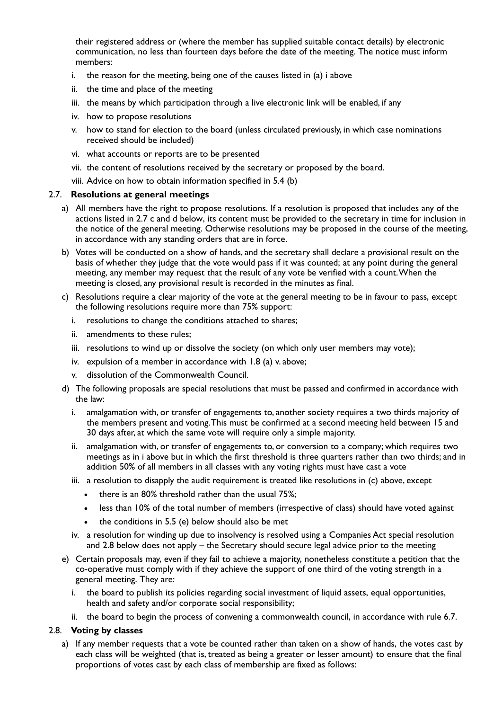their registered address or (where the member has supplied suitable contact details) by electronic communication, no less than fourteen days before the date of the meeting. The notice must inform members:

- i. the reason for the meeting, being one of the causes listed in (a) i above
- ii. the time and place of the meeting
- iii. the means by which participation through a live electronic link will be enabled, if any
- iv. how to propose resolutions
- v. how to stand for election to the board (unless circulated previously, in which case nominations received should be included)
- vi. what accounts or reports are to be presented
- vii. the content of resolutions received by the secretary or proposed by the board.
- viii. Advice on how to obtain information specified in 5.4 (b)

#### 2.7. **Resolutions at general meetings**

- a) All members have the right to propose resolutions. If a resolution is proposed that includes any of the actions listed in 2.7 c and d below, its content must be provided to the secretary in time for inclusion in the notice of the general meeting. Otherwise resolutions may be proposed in the course of the meeting, in accordance with any standing orders that are in force.
- b) Votes will be conducted on a show of hands, and the secretary shall declare a provisional result on the basis of whether they judge that the vote would pass if it was counted; at any point during the general meeting, any member may request that the result of any vote be verified with a count. When the meeting is closed, any provisional result is recorded in the minutes as final.
- c) Resolutions require a clear majority of the vote at the general meeting to be in favour to pass, except the following resolutions require more than 75% support:
	- i. resolutions to change the conditions attached to shares;
	- ii. amendments to these rules;
	- iii. resolutions to wind up or dissolve the society (on which only user members may vote);
	- iv. expulsion of a member in accordance with 1.8 (a) v. above;
	- v. dissolution of the Commonwealth Council.
- d) The following proposals are special resolutions that must be passed and confirmed in accordance with the law:
	- i. amalgamation with, or transfer of engagements to, another society requires a two thirds majority of the members present and voting. This must be confirmed at a second meeting held between 15 and 30 days after, at which the same vote will require only a simple majority.
	- ii. amalgamation with, or transfer of engagements to, or conversion to a company; which requires two meetings as in i above but in which the first threshold is three quarters rather than two thirds; and in addition 50% of all members in all classes with any voting rights must have cast a vote
	- iii. a resolution to disapply the audit requirement is treated like resolutions in (c) above, except
		- there is an 80% threshold rather than the usual 75%;
		- less than 10% of the total number of members (irrespective of class) should have voted against
		- the conditions in 5.5 (e) below should also be met
	- iv. a resolution for winding up due to insolvency is resolved using a Companies Act special resolution and 2.8 below does not apply – the Secretary should secure legal advice prior to the meeting
- e) Certain proposals may, even if they fail to achieve a majority, nonetheless constitute a petition that the co-operative must comply with if they achieve the support of one third of the voting strength in a general meeting. They are:
	- i. the board to publish its policies regarding social investment of liquid assets, equal opportunities, health and safety and/or corporate social responsibility;
	- ii. the board to begin the process of convening a commonwealth council, in accordance with rule 6.7.

#### 2.8. **Voting by classes**

 a) If any member requests that a vote be counted rather than taken on a show of hands, the votes cast by each class will be weighted (that is, treated as being a greater or lesser amount) to ensure that the final proportions of votes cast by each class of membership are fixed as follows: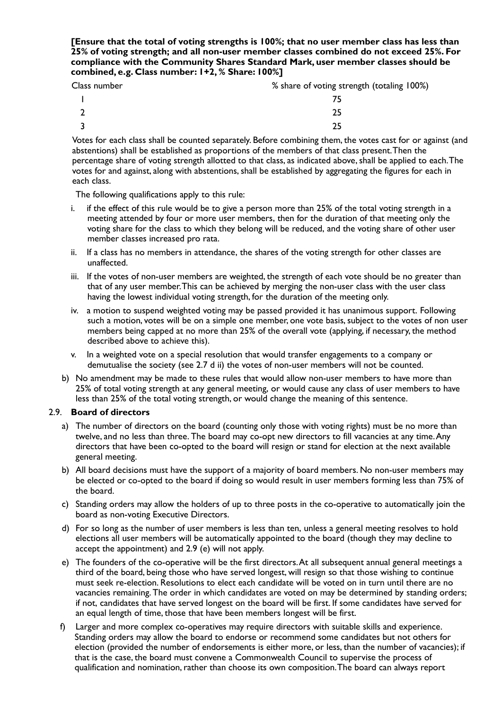#### **[Ensure that the total of voting strengths is 100%; that no user member class has less than 25% of voting strength; and all non-user member classes combined do not exceed 25%. For compliance with the Community Shares Standard Mark, user member classes should be combined, e.g. Class number: 1+2, % Share: 100%]**

| Class number | % share of voting strength (totaling 100%) |
|--------------|--------------------------------------------|
|              |                                            |
|              |                                            |

 $3$  25

Votes for each class shall be counted separately. Before combining them, the votes cast for or against (and abstentions) shall be established as proportions of the members of that class present. Then the percentage share of voting strength allotted to that class, as indicated above, shall be applied to each. The votes for and against, along with abstentions, shall be established by aggregating the figures for each in each class.

The following qualifications apply to this rule:

- i. if the effect of this rule would be to give a person more than 25% of the total voting strength in a meeting attended by four or more user members, then for the duration of that meeting only the voting share for the class to which they belong will be reduced, and the voting share of other user member classes increased pro rata.
- ii. If a class has no members in attendance, the shares of the voting strength for other classes are unaffected.
- iii. If the votes of non-user members are weighted, the strength of each vote should be no greater than that of any user member. This can be achieved by merging the non-user class with the user class having the lowest individual voting strength, for the duration of the meeting only.
- iv. a motion to suspend weighted voting may be passed provided it has unanimous support. Following such a motion, votes will be on a simple one member, one vote basis, subject to the votes of non user members being capped at no more than 25% of the overall vote (applying, if necessary, the method described above to achieve this).
- v. In a weighted vote on a special resolution that would transfer engagements to a company or demutualise the society (see 2.7 d ii) the votes of non-user members will not be counted.
- b) No amendment may be made to these rules that would allow non-user members to have more than 25% of total voting strength at any general meeting, or would cause any class of user members to have less than 25% of the total voting strength, or would change the meaning of this sentence.

#### 2.9. **Board of directors**

- a) The number of directors on the board (counting only those with voting rights) must be no more than twelve, and no less than three. The board may co-opt new directors to fill vacancies at any time. Any directors that have been co-opted to the board will resign or stand for election at the next available general meeting.
- b) All board decisions must have the support of a majority of board members. No non-user members may be elected or co-opted to the board if doing so would result in user members forming less than 75% of the board.
- c) Standing orders may allow the holders of up to three posts in the co-operative to automatically join the board as non-voting Executive Directors.
- d) For so long as the number of user members is less than ten, unless a general meeting resolves to hold elections all user members will be automatically appointed to the board (though they may decline to accept the appointment) and 2.9 (e) will not apply.
- e) The founders of the co-operative will be the first directors. At all subsequent annual general meetings a third of the board, being those who have served longest, will resign so that those wishing to continue must seek re-election. Resolutions to elect each candidate will be voted on in turn until there are no vacancies remaining. The order in which candidates are voted on may be determined by standing orders; if not, candidates that have served longest on the board will be first. If some candidates have served for an equal length of time, those that have been members longest will be first.
- f) Larger and more complex co-operatives may require directors with suitable skills and experience. Standing orders may allow the board to endorse or recommend some candidates but not others for election (provided the number of endorsements is either more, or less, than the number of vacancies); if that is the case, the board must convene a Commonwealth Council to supervise the process of qualification and nomination, rather than choose its own composition. The board can always report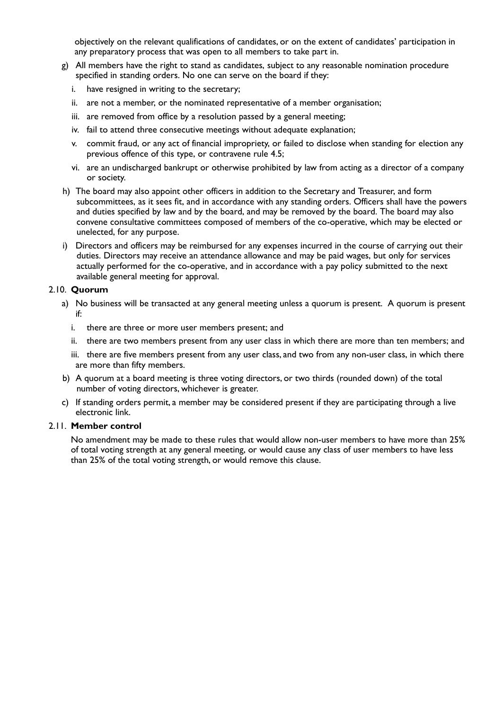objectively on the relevant qualifications of candidates, or on the extent of candidates' participation in any preparatory process that was open to all members to take part in.

- g) All members have the right to stand as candidates, subject to any reasonable nomination procedure specified in standing orders. No one can serve on the board if they:
	- i. have resigned in writing to the secretary;
	- ii. are not a member, or the nominated representative of a member organisation;
	- iii. are removed from office by a resolution passed by a general meeting;
	- iv. fail to attend three consecutive meetings without adequate explanation;
	- v. commit fraud, or any act of financial impropriety, or failed to disclose when standing for election any previous offence of this type, or contravene rule 4.5;
	- vi. are an undischarged bankrupt or otherwise prohibited by law from acting as a director of a company or society.
- h) The board may also appoint other officers in addition to the Secretary and Treasurer, and form subcommittees, as it sees fit, and in accordance with any standing orders. Officers shall have the powers and duties specified by law and by the board, and may be removed by the board. The board may also convene consultative committees composed of members of the co-operative, which may be elected or unelected, for any purpose.
- i) Directors and officers may be reimbursed for any expenses incurred in the course of carrying out their duties. Directors may receive an attendance allowance and may be paid wages, but only for services actually performed for the co-operative, and in accordance with a pay policy submitted to the next available general meeting for approval.

#### 2.10. **Quorum**

- a) No business will be transacted at any general meeting unless a quorum is present. A quorum is present if:
	- i. there are three or more user members present; and
	- ii. there are two members present from any user class in which there are more than ten members; and
	- iii. there are five members present from any user class, and two from any non-user class, in which there are more than fifty members.
- b) A quorum at a board meeting is three voting directors, or two thirds (rounded down) of the total number of voting directors, whichever is greater.
- c) If standing orders permit, a member may be considered present if they are participating through a live electronic link.

#### 2.11. **Member control**

No amendment may be made to these rules that would allow non-user members to have more than 25% of total voting strength at any general meeting, or would cause any class of user members to have less than 25% of the total voting strength, or would remove this clause.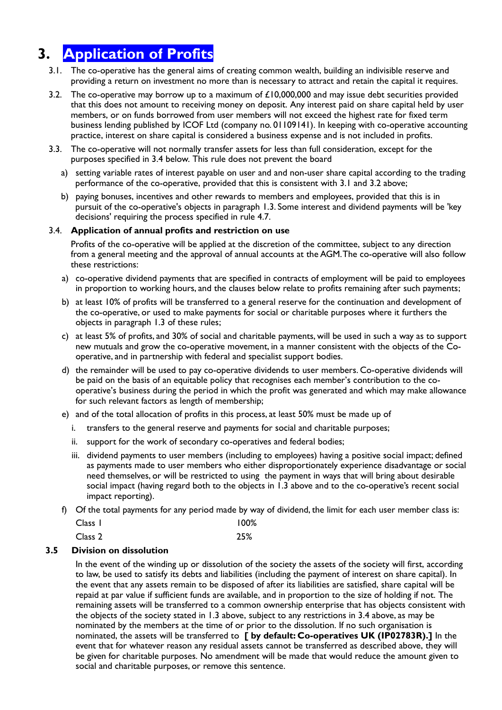# **3. Application of Profits**

- 3.1. The co-operative has the general aims of creating common wealth, building an indivisible reserve and providing a return on investment no more than is necessary to attract and retain the capital it requires.
- 3.2. The co-operative may borrow up to a maximum of  $£10,000,000$  and may issue debt securities provided that this does not amount to receiving money on deposit. Any interest paid on share capital held by user members, or on funds borrowed from user members will not exceed the highest rate for fixed term business lending published by ICOF Ltd (company no. 01109141). In keeping with co-operative accounting practice, interest on share capital is considered a business expense and is not included in profits.
- 3.3. The co-operative will not normally transfer assets for less than full consideration, except for the purposes specified in 3.4 below. This rule does not prevent the board
	- a) setting variable rates of interest payable on user and and non-user share capital according to the trading performance of the co-operative, provided that this is consistent with 3.1 and 3.2 above;
	- b) paying bonuses, incentives and other rewards to members and employees, provided that this is in pursuit of the co-operative's objects in paragraph 1.3. Some interest and dividend payments will be 'key decisions' requiring the process specified in rule 4.7.

#### 3.4. **Application of annual profits and restriction on use**

Profits of the co-operative will be applied at the discretion of the committee, subject to any direction from a general meeting and the approval of annual accounts at the AGM. The co-operative will also follow these restrictions:

- a) co-operative dividend payments that are specified in contracts of employment will be paid to employees in proportion to working hours, and the clauses below relate to profits remaining after such payments;
- b) at least 10% of profits will be transferred to a general reserve for the continuation and development of the co-operative, or used to make payments for social or charitable purposes where it furthers the objects in paragraph 1.3 of these rules;
- c) at least 5% of profits, and 30% of social and charitable payments, will be used in such a way as to support new mutuals and grow the co-operative movement, in a manner consistent with the objects of the Cooperative, and in partnership with federal and specialist support bodies.
- d) the remainder will be used to pay co-operative dividends to user members. Co-operative dividends will be paid on the basis of an equitable policy that recognises each member's contribution to the cooperative's business during the period in which the profit was generated and which may make allowance for such relevant factors as length of membership;
- e) and of the total allocation of profits in this process, at least 50% must be made up of
	- i. transfers to the general reserve and payments for social and charitable purposes;
	- ii. support for the work of secondary co-operatives and federal bodies;
	- iii. dividend payments to user members (including to employees) having a positive social impact; defined as payments made to user members who either disproportionately experience disadvantage or social need themselves, or will be restricted to using the payment in ways that will bring about desirable social impact (having regard both to the objects in 1.3 above and to the co-operative's recent social impact reporting).
- f) Of the total payments for any period made by way of dividend, the limit for each user member class is:

| Class 1 | $100\%$ |
|---------|---------|
|         |         |

Class 2 25%

#### **3.5 Division on dissolution**

In the event of the winding up or dissolution of the society the assets of the society will first, according to law, be used to satisfy its debts and liabilities (including the payment of interest on share capital). In the event that any assets remain to be disposed of after its liabilities are satisfied, share capital will be repaid at par value if sufficient funds are available, and in proportion to the size of holding if not. The remaining assets will be transferred to a common ownership enterprise that has objects consistent with the objects of the society stated in 1.3 above, subject to any restrictions in 3.4 above, as may be nominated by the members at the time of or prior to the dissolution. If no such organisation is nominated, the assets will be transferred to **[ by default: Co-operatives UK (IP02783R).]** In the event that for whatever reason any residual assets cannot be transferred as described above, they will be given for charitable purposes. No amendment will be made that would reduce the amount given to social and charitable purposes, or remove this sentence.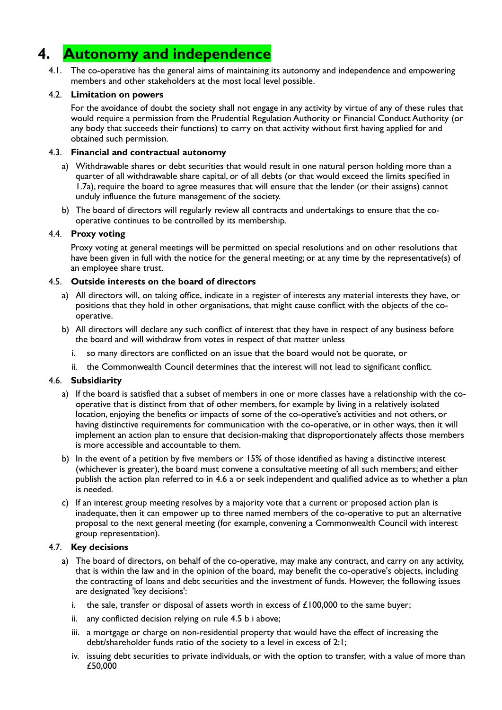# **4. Autonomy and independence**

 4.1. The co-operative has the general aims of maintaining its autonomy and independence and empowering members and other stakeholders at the most local level possible.

#### 4.2. **Limitation on powers**

For the avoidance of doubt the society shall not engage in any activity by virtue of any of these rules that would require a permission from the Prudential Regulation Authority or Financial Conduct Authority (or any body that succeeds their functions) to carry on that activity without first having applied for and obtained such permission.

#### 4.3. **Financial and contractual autonomy**

- a) Withdrawable shares or debt securities that would result in one natural person holding more than a quarter of all withdrawable share capital, or of all debts (or that would exceed the limits specified in 1.7a), require the board to agree measures that will ensure that the lender (or their assigns) cannot unduly influence the future management of the society.
- b) The board of directors will regularly review all contracts and undertakings to ensure that the cooperative continues to be controlled by its membership.

#### 4.4. **Proxy voting**

Proxy voting at general meetings will be permitted on special resolutions and on other resolutions that have been given in full with the notice for the general meeting; or at any time by the representative(s) of an employee share trust.

#### 4.5. **Outside interests on the board of directors**

- a) All directors will, on taking office, indicate in a register of interests any material interests they have, or positions that they hold in other organisations, that might cause conflict with the objects of the cooperative.
- b) All directors will declare any such conflict of interest that they have in respect of any business before the board and will withdraw from votes in respect of that matter unless
	- i. so many directors are conflicted on an issue that the board would not be quorate, or
	- ii. the Commonwealth Council determines that the interest will not lead to significant conflict.

#### 4.6. **Subsidiarity**

- a) If the board is satisfied that a subset of members in one or more classes have a relationship with the cooperative that is distinct from that of other members, for example by living in a relatively isolated location, enjoying the benefits or impacts of some of the co-operative's activities and not others, or having distinctive requirements for communication with the co-operative, or in other ways, then it will implement an action plan to ensure that decision-making that disproportionately affects those members is more accessible and accountable to them.
- b) In the event of a petition by five members or 15% of those identified as having a distinctive interest (whichever is greater), the board must convene a consultative meeting of all such members; and either publish the action plan referred to in 4.6 a or seek independent and qualified advice as to whether a plan is needed.
- c) If an interest group meeting resolves by a majority vote that a current or proposed action plan is inadequate, then it can empower up to three named members of the co-operative to put an alternative proposal to the next general meeting (for example, convening a Commonwealth Council with interest group representation).

#### 4.7. **Key decisions**

- a) The board of directors, on behalf of the co-operative, may make any contract, and carry on any activity, that is within the law and in the opinion of the board, may benefit the co-operative's objects, including the contracting of loans and debt securities and the investment of funds. However, the following issues are designated 'key decisions':
	- i. the sale, transfer or disposal of assets worth in excess of  $£100,000$  to the same buyer;
	- ii. any conflicted decision relying on rule 4.5 b i above;
	- iii. a mortgage or charge on non-residential property that would have the effect of increasing the debt/shareholder funds ratio of the society to a level in excess of 2:1;
	- iv. issuing debt securities to private individuals, or with the option to transfer, with a value of more than £50,000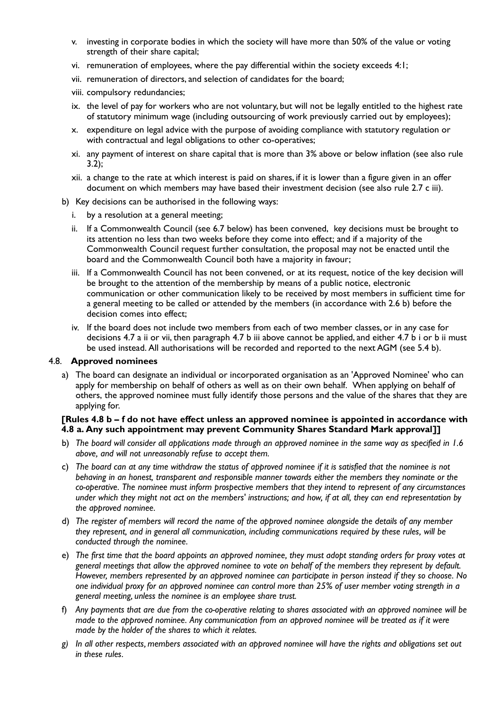- v. investing in corporate bodies in which the society will have more than 50% of the value or voting strength of their share capital;
- vi. remuneration of employees, where the pay differential within the society exceeds 4:1;
- vii. remuneration of directors, and selection of candidates for the board;
- viii. compulsory redundancies;
- ix. the level of pay for workers who are not voluntary, but will not be legally entitled to the highest rate of statutory minimum wage (including outsourcing of work previously carried out by employees);
- x. expenditure on legal advice with the purpose of avoiding compliance with statutory regulation or with contractual and legal obligations to other co-operatives;
- xi. any payment of interest on share capital that is more than 3% above or below inflation (see also rule 3.2);
- xii. a change to the rate at which interest is paid on shares, if it is lower than a figure given in an offer document on which members may have based their investment decision (see also rule 2.7 c iii).
- b) Key decisions can be authorised in the following ways:
	- i. by a resolution at a general meeting;
	- ii. If a Commonwealth Council (see 6.7 below) has been convened, key decisions must be brought to its attention no less than two weeks before they come into effect; and if a majority of the Commonwealth Council request further consultation, the proposal may not be enacted until the board and the Commonwealth Council both have a majority in favour;
	- iii. If a Commonwealth Council has not been convened, or at its request, notice of the key decision will be brought to the attention of the membership by means of a public notice, electronic communication or other communication likely to be received by most members in sufficient time for a general meeting to be called or attended by the members (in accordance with 2.6 b) before the decision comes into effect;
	- iv. If the board does not include two members from each of two member classes, or in any case for decisions 4.7 a ii or vii, then paragraph 4.7 b iii above cannot be applied, and either 4.7 b i or b ii must be used instead. All authorisations will be recorded and reported to the next AGM (see 5.4 b).

#### 4.8. **Approved nominees**

 a) The board can designate an individual or incorporated organisation as an 'Approved Nominee' who can apply for membership on behalf of others as well as on their own behalf. When applying on behalf of others, the approved nominee must fully identify those persons and the value of the shares that they are applying for.

#### **[Rules 4.8 b – f do not have effect unless an approved nominee is appointed in accordance with 4.8 a. Any such appointment may prevent Community Shares Standard Mark approval]]**

- b) The board will consider all applications made through an approved nominee in the same way as specified in 1.6 *above, and will not unreasonably refuse to accept them.*
- c) The board can at any time withdraw the status of approved nominee if it is satisfied that the nominee is not *behaving in an honest, transparent and responsible manner towards either the members they nominate or the co-operative. The nominee must inform prospective members that they intend to represent of any circumstances* under which they might not act on the members' instructions; and how, if at all, they can end representation by *the approved nominee.*
- d) The register of members will record the name of the approved nominee alongside the details of any member *they represent, and in general all communication, including communications required by these rules, will be conducted through the nominee.*
- e) The first time that the board appoints an approved nominee, they must adopt standing orders for proxy votes at general meetings that allow the approved nominee to vote on behalf of the members they represent by default. However, members represented by an approved nominee can participate in person instead if they so choose. No *one individual proxy for an approved nominee can control more than 25% of user member voting strength in a general meeting, unless the nominee is an employee share trust.*
- f) Any payments that are due from the co-operative relating to shares associated with an approved nominee will be made to the approved nominee. Any communication from an approved nominee will be treated as if it were *made by the holder of the shares to which it relates.*
- *g) In all other respects, members associated with an approved nominee will have the rights and obligations set out in these rules.*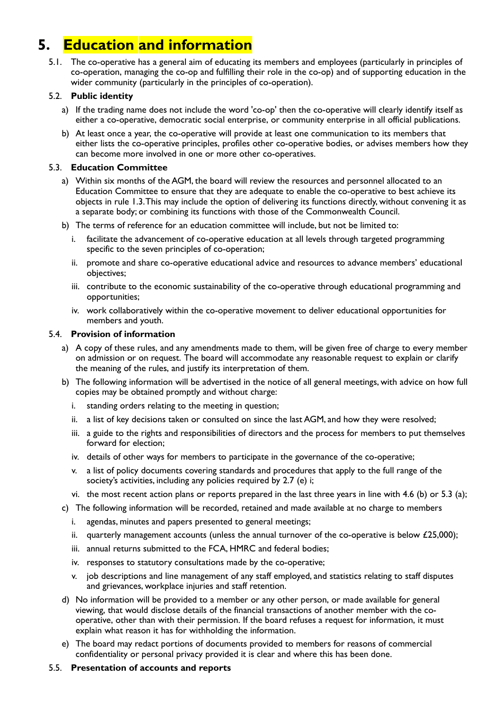# **5. Education and information**

 5.1. The co-operative has a general aim of educating its members and employees (particularly in principles of co-operation, managing the co-op and fulfilling their role in the co-op) and of supporting education in the wider community (particularly in the principles of co-operation).

#### 5.2. **Public identity**

- a) If the trading name does not include the word 'co-op' then the co-operative will clearly identify itself as either a co-operative, democratic social enterprise, or community enterprise in all official publications.
- b) At least once a year, the co-operative will provide at least one communication to its members that either lists the co-operative principles, profiles other co-operative bodies, or advises members how they can become more involved in one or more other co-operatives.

#### 5.3. **Education Committee**

- a) Within six months of the AGM, the board will review the resources and personnel allocated to an Education Committee to ensure that they are adequate to enable the co-operative to best achieve its objects in rule 1.3. This may include the option of delivering its functions directly, without convening it as a separate body; or combining its functions with those of the Commonwealth Council.
- b) The terms of reference for an education committee will include, but not be limited to:
	- i. facilitate the advancement of co-operative education at all levels through targeted programming specific to the seven principles of co-operation;
	- ii. promote and share co-operative educational advice and resources to advance members' educational objectives;
	- iii. contribute to the economic sustainability of the co-operative through educational programming and opportunities;
	- iv. work collaboratively within the co-operative movement to deliver educational opportunities for members and youth.

#### 5.4. **Provision of information**

- a) A copy of these rules, and any amendments made to them, will be given free of charge to every member on admission or on request. The board will accommodate any reasonable request to explain or clarify the meaning of the rules, and justify its interpretation of them.
- b) The following information will be advertised in the notice of all general meetings, with advice on how full copies may be obtained promptly and without charge:
	- i. standing orders relating to the meeting in question;
	- ii. a list of key decisions taken or consulted on since the last AGM, and how they were resolved;
	- iii. a guide to the rights and responsibilities of directors and the process for members to put themselves forward for election;
	- iv. details of other ways for members to participate in the governance of the co-operative;
	- v. a list of policy documents covering standards and procedures that apply to the full range of the society's activities, including any policies required by 2.7 (e) i;
	- vi. the most recent action plans or reports prepared in the last three years in line with 4.6 (b) or 5.3 (a);
- c) The following information will be recorded, retained and made available at no charge to members
	- i. agendas, minutes and papers presented to general meetings;
	- ii. quarterly management accounts (unless the annual turnover of the co-operative is below  $£25,000$ );
	- iii. annual returns submitted to the FCA, HMRC and federal bodies;
	- iv. responses to statutory consultations made by the co-operative;
	- v. job descriptions and line management of any staff employed, and statistics relating to staff disputes and grievances, workplace injuries and staff retention.
- d) No information will be provided to a member or any other person, or made available for general viewing, that would disclose details of the financial transactions of another member with the cooperative, other than with their permission. If the board refuses a request for information, it must explain what reason it has for withholding the information.
- e) The board may redact portions of documents provided to members for reasons of commercial confidentiality or personal privacy provided it is clear and where this has been done.

#### 5.5. **Presentation of accounts and reports**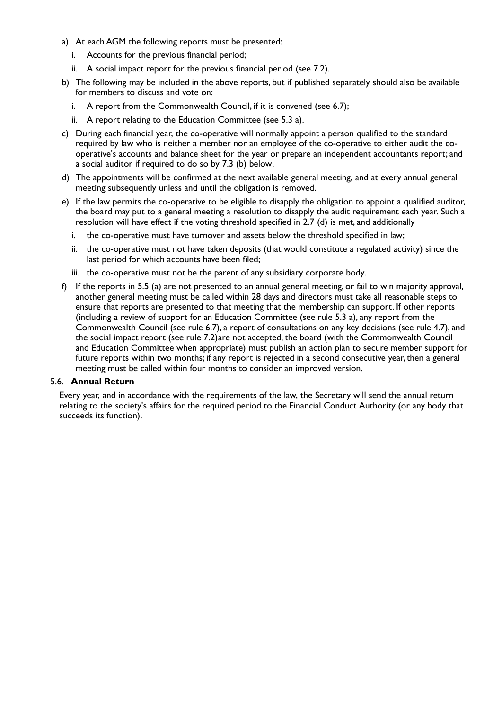- a) At each AGM the following reports must be presented:
	- i. Accounts for the previous financial period;
	- ii. A social impact report for the previous financial period (see 7.2).
- b) The following may be included in the above reports, but if published separately should also be available for members to discuss and vote on:
	- i. A report from the Commonwealth Council, if it is convened (see 6.7);
	- ii. A report relating to the Education Committee (see 5.3 a).
- c) During each financial year, the co-operative will normally appoint a person qualified to the standard required by law who is neither a member nor an employee of the co-operative to either audit the cooperative's accounts and balance sheet for the year or prepare an independent accountants report; and a social auditor if required to do so by 7.3 (b) below.
- d) The appointments will be confirmed at the next available general meeting, and at every annual general meeting subsequently unless and until the obligation is removed.
- e) If the law permits the co-operative to be eligible to disapply the obligation to appoint a qualified auditor, the board may put to a general meeting a resolution to disapply the audit requirement each year. Such a resolution will have effect if the voting threshold specified in 2.7 (d) is met, and additionally
	- i. the co-operative must have turnover and assets below the threshold specified in law;
	- ii. the co-operative must not have taken deposits (that would constitute a regulated activity) since the last period for which accounts have been filed;
	- iii. the co-operative must not be the parent of any subsidiary corporate body.
- f) If the reports in 5.5 (a) are not presented to an annual general meeting, or fail to win majority approval, another general meeting must be called within 28 days and directors must take all reasonable steps to ensure that reports are presented to that meeting that the membership can support. If other reports (including a review of support for an Education Committee (see rule 5.3 a), any report from the Commonwealth Council (see rule 6.7), a report of consultations on any key decisions (see rule 4.7), and the social impact report (see rule 7.2)are not accepted, the board (with the Commonwealth Council and Education Committee when appropriate) must publish an action plan to secure member support for future reports within two months; if any report is rejected in a second consecutive year, then a general meeting must be called within four months to consider an improved version.

#### 5.6. **Annual Return**

Every year, and in accordance with the requirements of the law, the Secretary will send the annual return relating to the society's affairs for the required period to the Financial Conduct Authority (or any body that succeeds its function).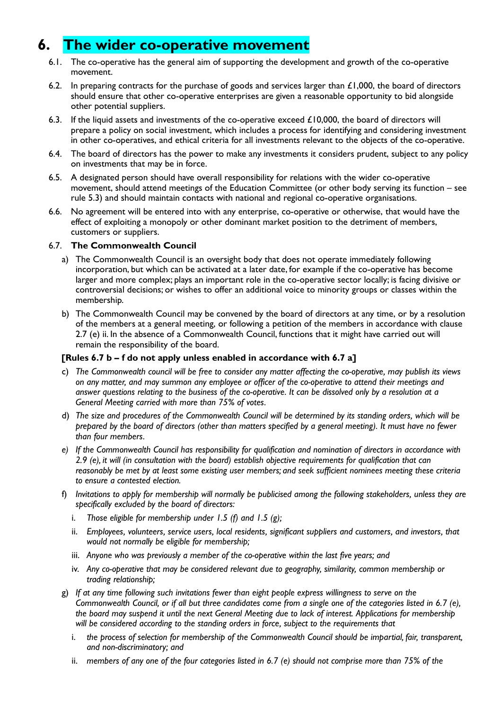## **6. The wider co-operative movement**

- 6.1. The co-operative has the general aim of supporting the development and growth of the co-operative movement.
- 6.2. In preparing contracts for the purchase of goods and services larger than  $\pounds1,000$ , the board of directors should ensure that other co-operative enterprises are given a reasonable opportunity to bid alongside other potential suppliers.
- 6.3. If the liquid assets and investments of the co-operative exceed  $£10,000$ , the board of directors will prepare a policy on social investment, which includes a process for identifying and considering investment in other co-operatives, and ethical criteria for all investments relevant to the objects of the co-operative.
- 6.4. The board of directors has the power to make any investments it considers prudent, subject to any policy on investments that may be in force.
- 6.5. A designated person should have overall responsibility for relations with the wider co-operative movement, should attend meetings of the Education Committee (or other body serving its function – see rule 5.3) and should maintain contacts with national and regional co-operative organisations.
- 6.6. No agreement will be entered into with any enterprise, co-operative or otherwise, that would have the effect of exploiting a monopoly or other dominant market position to the detriment of members, customers or suppliers.

#### 6.7. **The Commonwealth Council**

- a) The Commonwealth Council is an oversight body that does not operate immediately following incorporation, but which can be activated at a later date, for example if the co-operative has become larger and more complex; plays an important role in the co-operative sector locally; is facing divisive or controversial decisions; or wishes to offer an additional voice to minority groups or classes within the membership.
- b) The Commonwealth Council may be convened by the board of directors at any time, or by a resolution of the members at a general meeting, or following a petition of the members in accordance with clause 2.7 (e) ii. In the absence of a Commonwealth Council, functions that it might have carried out will remain the responsibility of the board.

#### **[Rules 6.7 b – f do not apply unless enabled in accordance with 6.7 a]**

- c) *The Commonwealth council will be free to consider any matter affecting the co-operative, may publish its views* on any matter, and may summon any employee or officer of the co-operative to attend their meetings and answer questions relating to the business of the co-operative. It can be dissolved only by a resolution at a *General Meeting carried with more than 75% of votes.*
- d) The size and procedures of the Commonwealth Council will be determined by its standing orders, which will be *prepared by the board of directors (other than matters specified by a general meeting). It must have no fewer than four members.*
- *e) If the Commonwealth Council has responsibility for qualification and nomination of directors in accordance with 2.9 (e), it will (in consultation with the board) establish objective requirements for qualification that can reasonably be met by at least some existing user members; and seek sufficient nominees meeting these criteria to ensure a contested election.*
- f) Invitations to abbly for membership will normally be publicised among the following stakeholders, unless they are *specifically excluded by the board of directors:*
	- i. *Those eligible for membership under 1.5 (f) and 1.5 (g);*
	- ii. *Employees, volunteers, service users, local residents, significant suppliers and customers, and investors, that would not normally be eligible for membership;*
	- iii. *Anyone who was previously a member of the co-operative within the last five years; and*
	- iv. *Any co-operative that may be considered relevant due to geography, similarity, common membership or trading relationship;*
- g) *If at any time following such invitations fewer than eight people express willingness to serve on the Commonwealth Council, or if all but three candidates come from a single one of the categories listed in 6.7 (e),*  the board may suspend it until the next General Meeting due to lack of interest. Applications for membership *will be considered according to the standing orders in force, subject to the requirements that*
	- i. *the process of selection for membership of the Commonwealth Council should be impartial, fair, transparent, and non-discriminatory; and*
	- ii. *members of any one of the four categories listed in 6.7 (e) should not comprise more than 75% of the*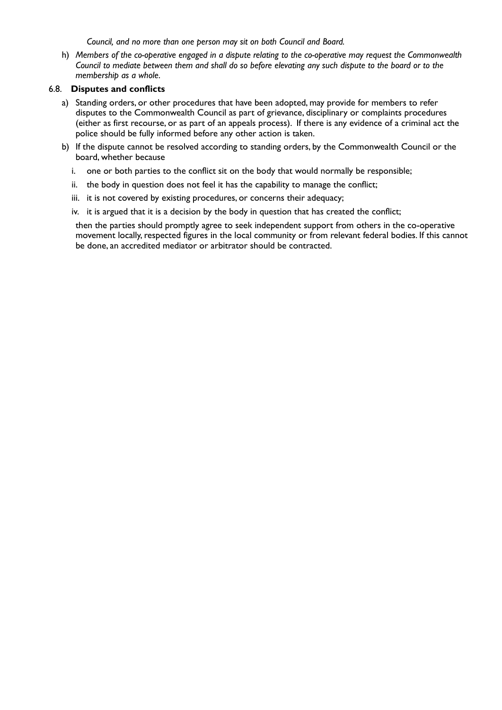*Council, and no more than one person may sit on both Council and Board.*

 h) *Members of the co-operative engaged in a dispute relating to the co-operative may request the Commonwealth* Council to mediate between them and shall do so before elevating any such dispute to the board or to the *membership as a whole.*

#### 6.8. **Disputes and conflicts**

- a) Standing orders, or other procedures that have been adopted, may provide for members to refer disputes to the Commonwealth Council as part of grievance, disciplinary or complaints procedures (either as first recourse, or as part of an appeals process). If there is any evidence of a criminal act the police should be fully informed before any other action is taken.
- b) If the dispute cannot be resolved according to standing orders, by the Commonwealth Council or the board, whether because
	- i. one or both parties to the conflict sit on the body that would normally be responsible;
	- ii. the body in question does not feel it has the capability to manage the conflict;
	- iii. it is not covered by existing procedures, or concerns their adequacy;
	- iv. it is argued that it is a decision by the body in question that has created the conflict;

then the parties should promptly agree to seek independent support from others in the co-operative movement locally, respected figures in the local community or from relevant federal bodies. If this cannot be done, an accredited mediator or arbitrator should be contracted.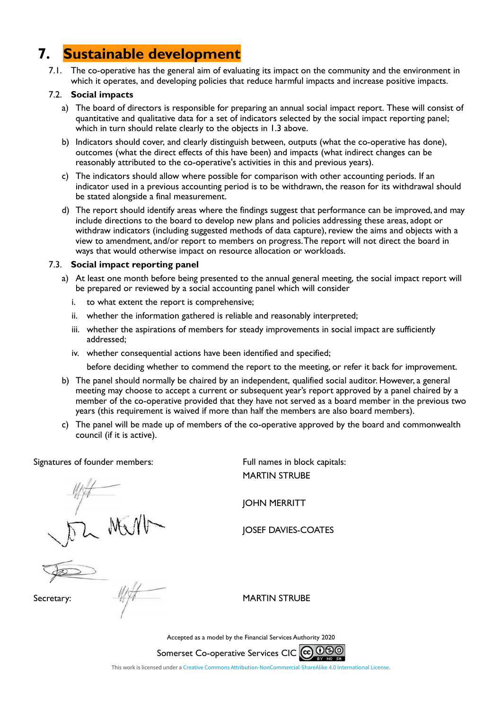## **7. Sustainable development**

 7.1. The co-operative has the general aim of evaluating its impact on the community and the environment in which it operates, and developing policies that reduce harmful impacts and increase positive impacts.

#### 7.2. **Social impacts**

- a) The board of directors is responsible for preparing an annual social impact report. These will consist of quantitative and qualitative data for a set of indicators selected by the social impact reporting panel; which in turn should relate clearly to the objects in 1.3 above.
- b) Indicators should cover, and clearly distinguish between, outputs (what the co-operative has done), outcomes (what the direct effects of this have been) and impacts (what indirect changes can be reasonably attributed to the co-operative's activities in this and previous years).
- c) The indicators should allow where possible for comparison with other accounting periods. If an indicator used in a previous accounting period is to be withdrawn, the reason for its withdrawal should be stated alongside a final measurement.
- d) The report should identify areas where the findings suggest that performance can be improved, and may include directions to the board to develop new plans and policies addressing these areas, adopt or withdraw indicators (including suggested methods of data capture), review the aims and objects with a view to amendment, and/or report to members on progress. The report will not direct the board in ways that would otherwise impact on resource allocation or workloads.

#### 7.3. **Social impact reporting panel**

- a) At least one month before being presented to the annual general meeting, the social impact report will be prepared or reviewed by a social accounting panel which will consider
	- i. to what extent the report is comprehensive;
	- ii. whether the information gathered is reliable and reasonably interpreted;
	- iii. whether the aspirations of members for steady improvements in social impact are sufficiently addressed;
	- iv. whether consequential actions have been identified and specified;

before deciding whether to commend the report to the meeting, or refer it back for improvement.

- b) The panel should normally be chaired by an independent, qualified social auditor. However, a general meeting may choose to accept a current or subsequent year's report approved by a panel chaired by a member of the co-operative provided that they have not served as a board member in the previous two years (this requirement is waived if more than half the members are also board members).
- c) The panel will be made up of members of the co-operative approved by the board and commonwealth council (if it is active).

Signatures of founder members: Full names in block capitals:

MARTIN STRUBE

JOHN MERRITT

JOSEF DAVIES-COATES

Secretary: WARTIN STRUBE

Accepted as a model by the Financial Services Authority 2020

Somerset Co-operative Services CIC CO 000

This work is licensed under a [Creative Commons Attribution-NonCommercial-ShareAlike 4.0 International License.](http://creativecommons.org/licenses/by-nc-sa/4.0/)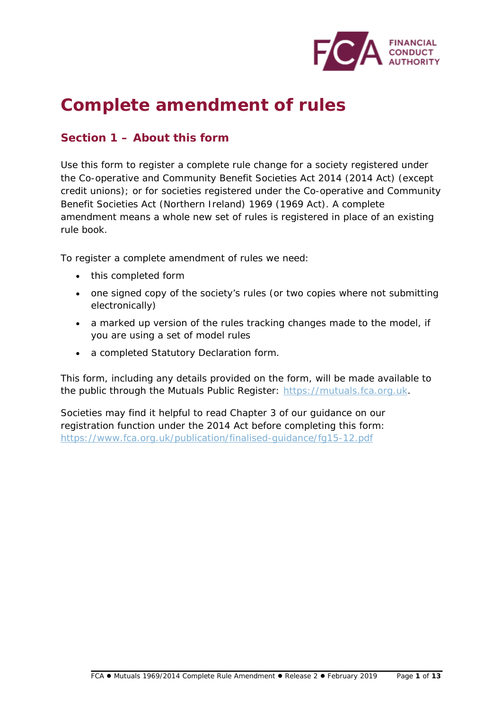

# **Complete amendment of rules**

### **Section 1 – About this form**

Use this form to register a complete rule change for a society registered under the Co-operative and Community Benefit Societies Act 2014 (2014 Act) (except credit unions); or for societies registered under the Co-operative and Community Benefit Societies Act (Northern Ireland) 1969 (1969 Act). A complete amendment means a whole new set of rules is registered in place of an existing rule book.

To register a complete amendment of rules we need:

- this completed form
- one signed copy of the society's rules (or two copies where not submitting electronically)
- a marked up version of the rules tracking changes made to the model, if you are using a set of model rules
- a completed Statutory Declaration form.

This form, including any details provided on the form, will be made available to the public through the Mutuals Public Register: [https://mutuals.fca.org.uk.](https://mutuals.fca.org.uk/)

Societies may find it helpful to read Chapter 3 of our guidance on our registration function under the 2014 Act before completing this form: <https://www.fca.org.uk/publication/finalised-guidance/fg15-12.pdf>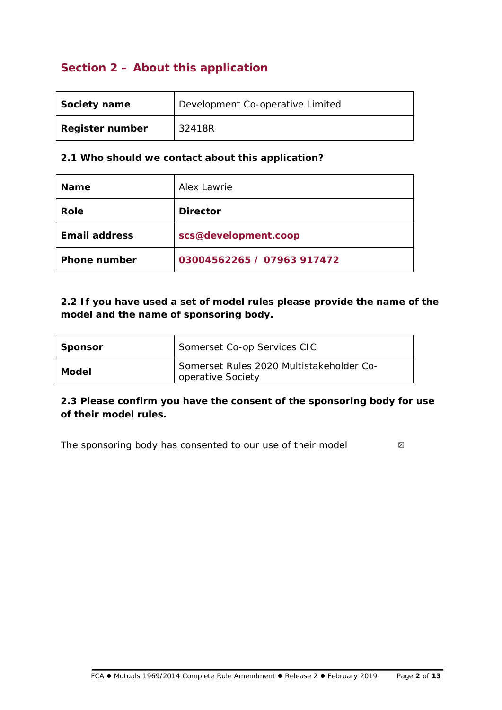## **Section 2 – About this application**

| Society name           | Development Co-operative Limited |
|------------------------|----------------------------------|
| <b>Register number</b> | 32418R                           |

#### **2.1 Who should we contact about this application?**

| <b>Name</b>          | Alex Lawrie                |
|----------------------|----------------------------|
| Role                 | <b>Director</b>            |
| <b>Email address</b> | scs@development.coop       |
| <b>Phone number</b>  | 03004562265 / 07963 917472 |

### **2.2 If you have used a set of model rules please provide the name of the model and the name of sponsoring body.**

| <b>Sponsor</b> | Somerset Co-op Services CIC                                   |  |
|----------------|---------------------------------------------------------------|--|
| Model          | Somerset Rules 2020 Multistakeholder Co-<br>operative Society |  |

### **2.3 Please confirm you have the consent of the sponsoring body for use of their model rules.**

The sponsoring body has consented to our use of their model ⊠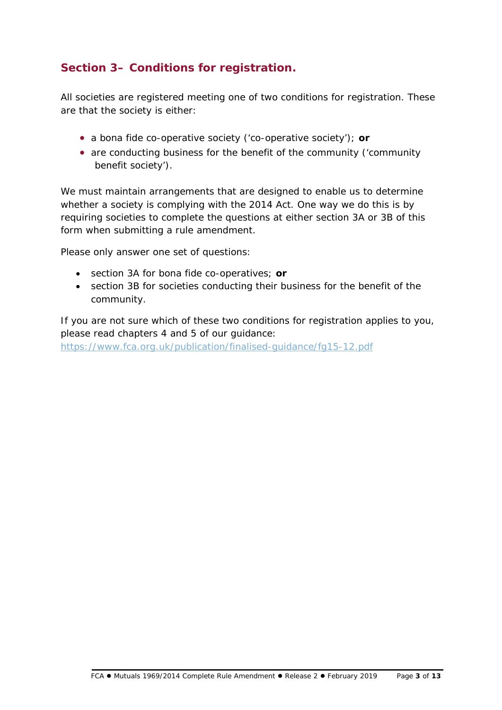## **Section 3– Conditions for registration.**

All societies are registered meeting one of two conditions for registration. These are that the society is either:

- a bona fide co-operative society ('co-operative society'); **or**
- are conducting business for the benefit of the community ('community benefit society').

We must maintain arrangements that are designed to enable us to determine whether a society is complying with the 2014 Act. One way we do this is by requiring societies to complete the questions at either section 3A or 3B of this form when submitting a rule amendment.

Please only answer one set of questions:

- section 3A for bona fide co-operatives; **or**
- section 3B for societies conducting their business for the benefit of the community.

If you are not sure which of these two conditions for registration applies to you, please read chapters 4 and 5 of our guidance:

<https://www.fca.org.uk/publication/finalised-guidance/fg15-12.pdf>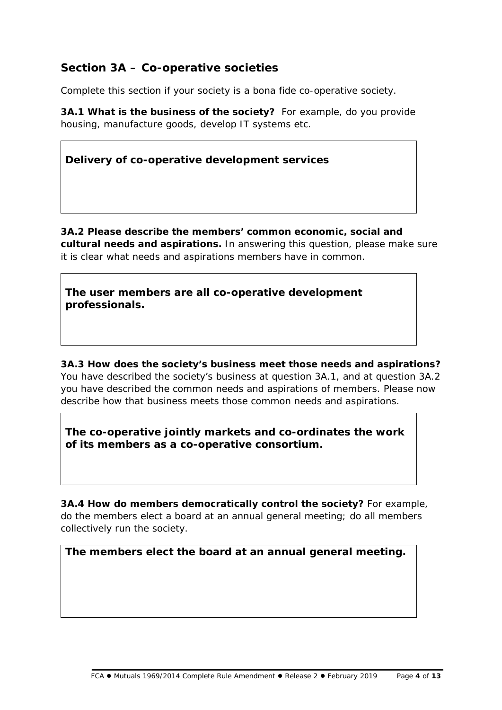### **Section 3A – Co-operative societies**

Complete this section if your society is a bona fide co-operative society.

**3A.1 What is the business of the society?** For example, do you provide housing, manufacture goods, develop IT systems etc.

**Delivery of co-operative development services**

**3A.2 Please describe the members' common economic, social and cultural needs and aspirations.** In answering this question, please make sure it is clear what needs and aspirations members have in common.

**The user members are all co-operative development professionals.**

**3A.3 How does the society's business meet those needs and aspirations?**  You have described the society's business at question 3A.1, and at question 3A.2 you have described the common needs and aspirations of members. Please now describe how that business meets those common needs and aspirations.

**The co-operative jointly markets and co-ordinates the work of its members as a co-operative consortium.**

**3A.4 How do members democratically control the society?** For example, do the members elect a board at an annual general meeting; do all members collectively run the society.

### **The members elect the board at an annual general meeting.**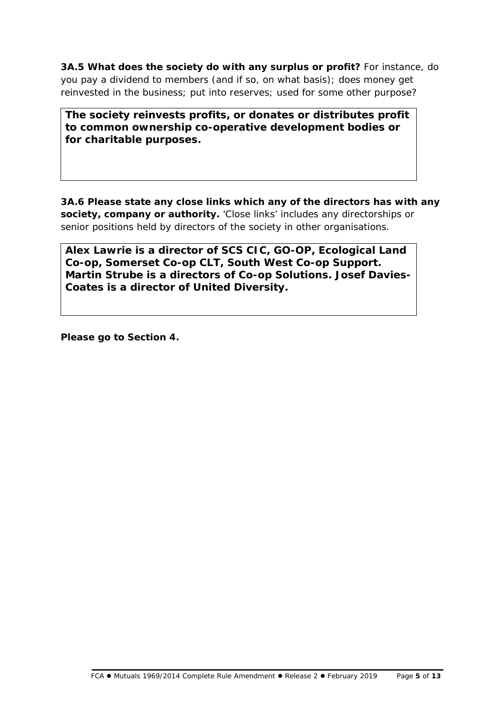**3A.5 What does the society do with any surplus or profit?** For instance, do you pay a dividend to members (and if so, on what basis); does money get reinvested in the business; put into reserves; used for some other purpose?

**The society reinvests profits, or donates or distributes profit to common ownership co-operative development bodies or for charitable purposes.**

**3A.6 Please state any close links which any of the directors has with any society, company or authority.** 'Close links' includes any directorships or senior positions held by directors of the society in other organisations.

**Alex Lawrie is a director of SCS CIC, GO-OP, Ecological Land Co-op, Somerset Co-op CLT, South West Co-op Support. Martin Strube is a directors of Co-op Solutions. Josef Davies-Coates is a director of United Diversity.** 

**Please go to Section 4.**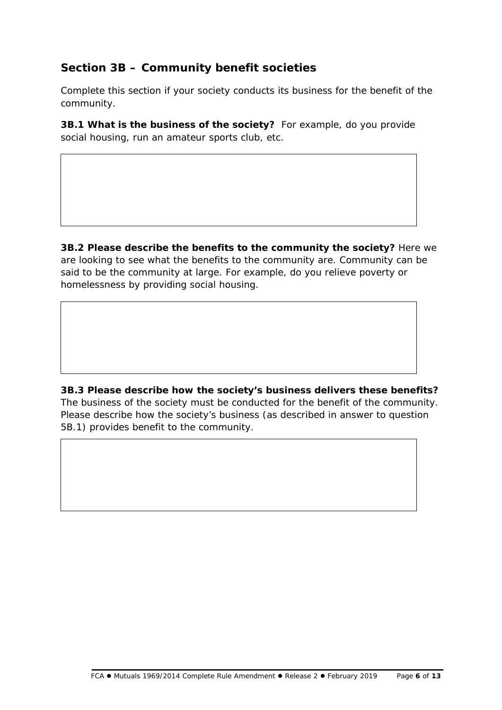## **Section 3B – Community benefit societies**

Complete this section if your society conducts its business for the benefit of the community.

**3B.1 What is the business of the society?** For example, do you provide social housing, run an amateur sports club, etc.

**3B.2 Please describe the benefits to the community the society?** Here we are looking to see *what* the benefits to the community are. Community can be said to be the community at large. For example, do you relieve poverty or homelessness by providing social housing.

**3B.3 Please describe how the society's business delivers these benefits?**  The business of the society must be conducted for the benefit of the community. Please describe *how* the society's business (as described in answer to question 5B.1) provides benefit to the community.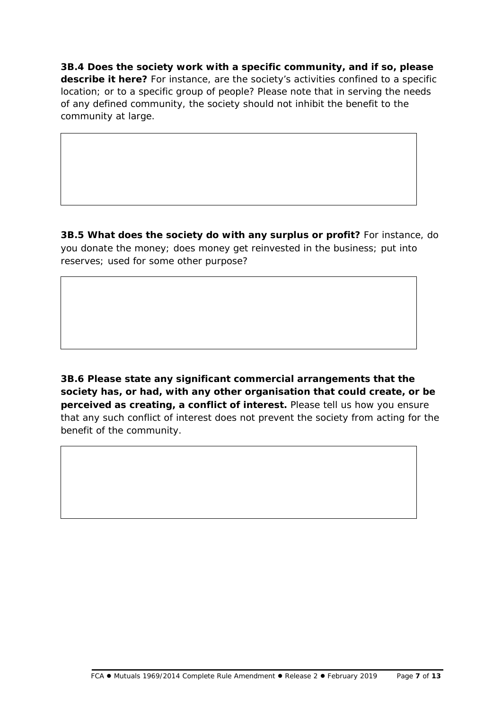**3B.4 Does the society work with a specific community, and if so, please describe it here?** For instance, are the society's activities confined to a specific location; or to a specific group of people? Please note that in serving the needs of any defined community, the society should not inhibit the benefit to the community at large.

**3B.5 What does the society do with any surplus or profit?** For instance, do you donate the money; does money get reinvested in the business; put into reserves; used for some other purpose?

**3B.6 Please state any significant commercial arrangements that the society has, or had, with any other organisation that could create, or be perceived as creating, a conflict of interest.** Please tell us how you ensure that any such conflict of interest does not prevent the society from acting for the benefit of the community.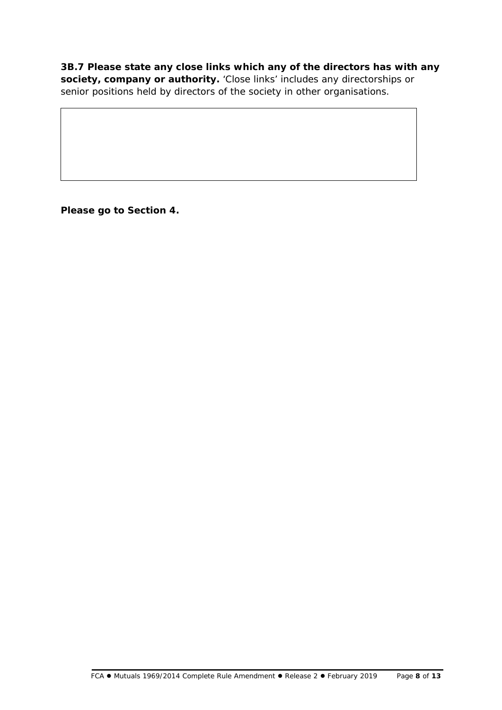**3B.7 Please state any close links which any of the directors has with any society, company or authority.** 'Close links' includes any directorships or senior positions held by directors of the society in other organisations.

**Please go to Section 4.**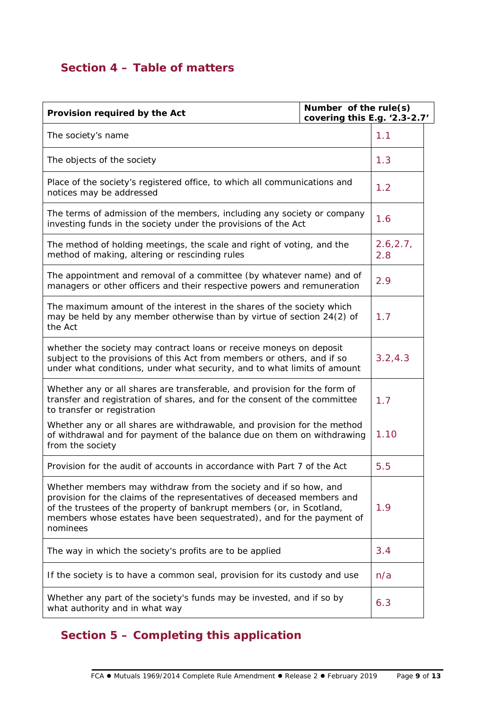## **Section 4 – Table of matters**

| Provision required by the Act                                                                                                                                                                                                                                                                             |          | Number of the rule(s)<br>covering this E.g. '2.3-2.7' |  |
|-----------------------------------------------------------------------------------------------------------------------------------------------------------------------------------------------------------------------------------------------------------------------------------------------------------|----------|-------------------------------------------------------|--|
| The society's name                                                                                                                                                                                                                                                                                        |          | 1.1                                                   |  |
| The objects of the society                                                                                                                                                                                                                                                                                |          | 1.3                                                   |  |
| Place of the society's registered office, to which all communications and<br>notices may be addressed                                                                                                                                                                                                     |          | 1.2                                                   |  |
| The terms of admission of the members, including any society or company<br>investing funds in the society under the provisions of the Act                                                                                                                                                                 |          | 1.6                                                   |  |
| The method of holding meetings, the scale and right of voting, and the<br>method of making, altering or rescinding rules                                                                                                                                                                                  |          | 2.6, 2.7,<br>2.8                                      |  |
| The appointment and removal of a committee (by whatever name) and of<br>managers or other officers and their respective powers and remuneration                                                                                                                                                           |          | 2.9                                                   |  |
| The maximum amount of the interest in the shares of the society which<br>may be held by any member otherwise than by virtue of section 24(2) of<br>the Act                                                                                                                                                |          | 1.7                                                   |  |
| whether the society may contract loans or receive moneys on deposit<br>subject to the provisions of this Act from members or others, and if so<br>under what conditions, under what security, and to what limits of amount                                                                                | 3.2, 4.3 |                                                       |  |
| Whether any or all shares are transferable, and provision for the form of<br>transfer and registration of shares, and for the consent of the committee<br>to transfer or registration                                                                                                                     |          | 1.7                                                   |  |
| Whether any or all shares are withdrawable, and provision for the method<br>of withdrawal and for payment of the balance due on them on withdrawing<br>from the society                                                                                                                                   | 1.10     |                                                       |  |
| Provision for the audit of accounts in accordance with Part 7 of the Act                                                                                                                                                                                                                                  |          | 5.5                                                   |  |
| Whether members may withdraw from the society and if so how, and<br>provision for the claims of the representatives of deceased members and<br>of the trustees of the property of bankrupt members (or, in Scotland,<br>members whose estates have been sequestrated), and for the payment of<br>nominees |          | 1.9                                                   |  |
| The way in which the society's profits are to be applied                                                                                                                                                                                                                                                  |          | 3.4                                                   |  |
| If the society is to have a common seal, provision for its custody and use                                                                                                                                                                                                                                |          | n/a                                                   |  |
| Whether any part of the society's funds may be invested, and if so by<br>what authority and in what way                                                                                                                                                                                                   |          | 6.3                                                   |  |

## **Section 5 – Completing this application**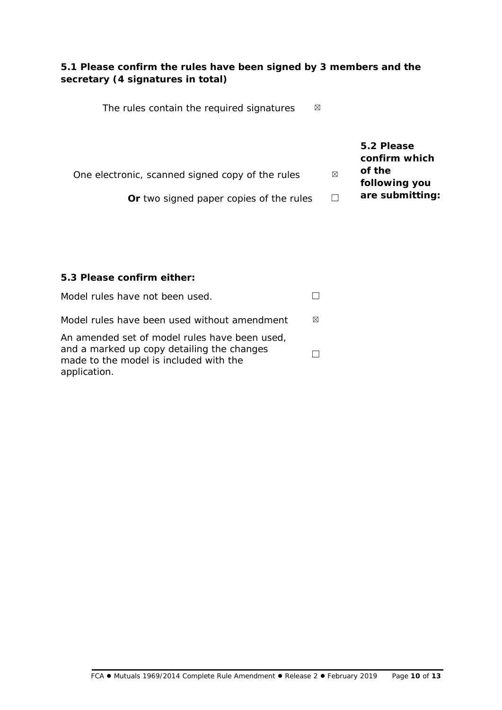#### **5.1 Please confirm the rules have been signed by 3 members and the secretary (4 signatures in total)**

The rules contain the required signatures ⊠

**5.2 Please confirm which of the following you are submitting:** One electronic, scanned signed copy of the rules ⊠

**Or** two signed paper copies of the rules □

### **5.3 Please confirm either:**

| Model rules have not been used.                                                                                                                       |   |
|-------------------------------------------------------------------------------------------------------------------------------------------------------|---|
| Model rules have been used without amendment                                                                                                          | ⊠ |
| An amended set of model rules have been used,<br>and a marked up copy detailing the changes<br>made to the model is included with the<br>application. |   |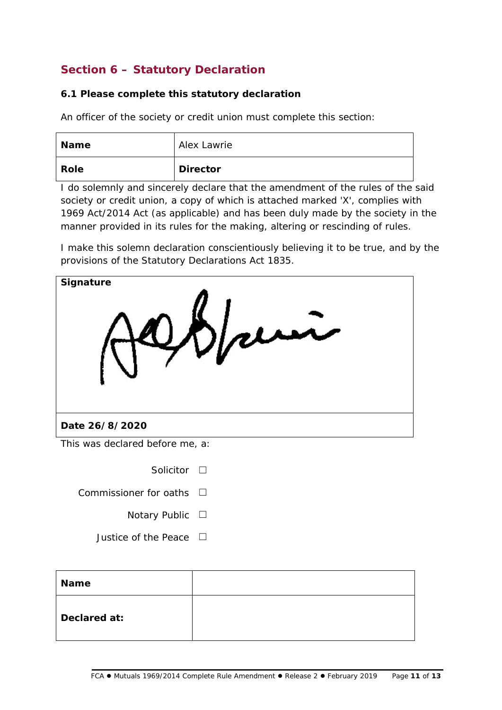## **Section 6 – Statutory Declaration**

#### **6.1 Please complete this statutory declaration**

An officer of the society or credit union must complete this section:

| <b>Name</b> | Alex Lawrie     |
|-------------|-----------------|
| Role        | <b>Director</b> |

I do solemnly and sincerely declare that the amendment of the rules of the said society or credit union, a copy of which is attached marked 'X', complies with 1969 Act/2014 Act (as applicable) and has been duly made by the society in the manner provided in its rules for the making, altering or rescinding of rules.

I make this solemn declaration conscientiously believing it to be true, and by the provisions of the Statutory Declarations Act 1835.



Solicitor □

Commissioner for oaths  $□$ 

- - Notary Public □
- Justice of the Peace  $□$

| <b>Name</b>  |  |
|--------------|--|
| Declared at: |  |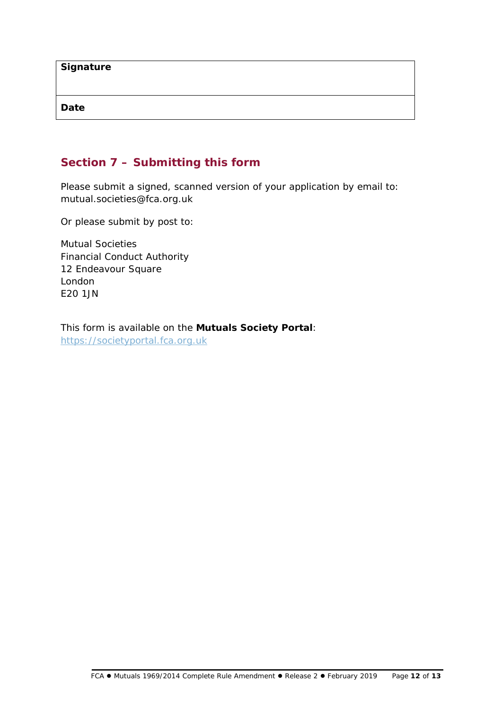| Signature |  |  |
|-----------|--|--|
|           |  |  |
| Date      |  |  |

## **Section 7 – Submitting this form**

Please submit a signed, scanned version of your application by email to: mutual.societies@fca.org.uk

Or please submit by post to:

Mutual Societies Financial Conduct Authority 12 Endeavour Square London E20 1JN

This form is available on the **Mutuals Society Portal**: [https://societyportal.fca.org.uk](https://societyportal.fca.org.uk/)